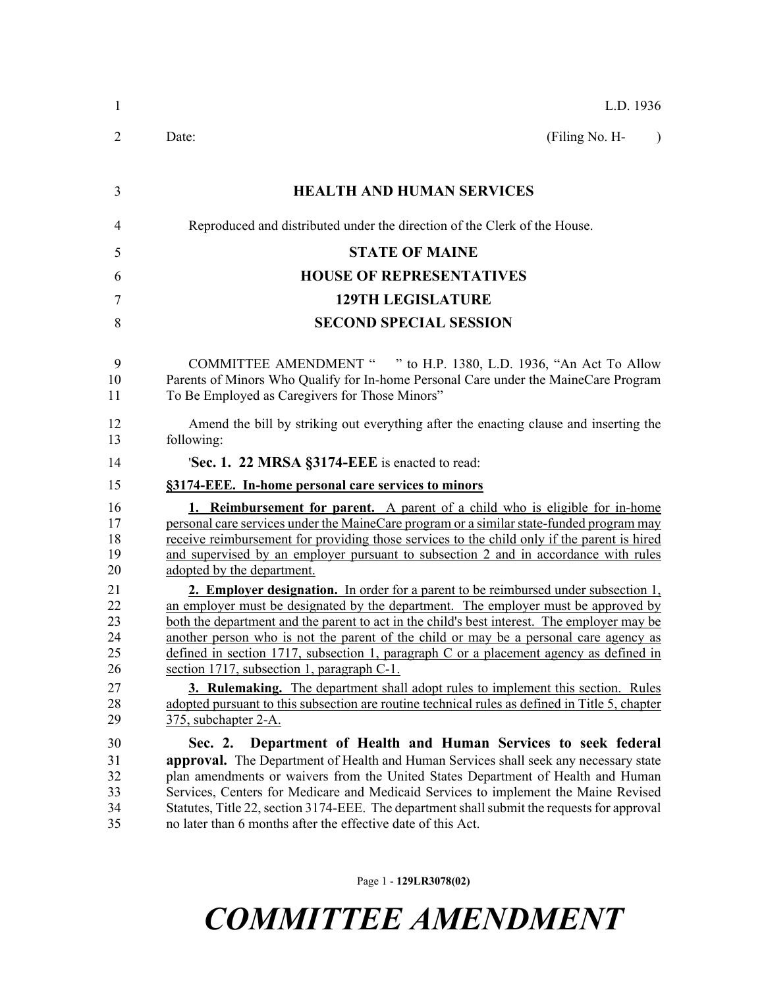| L.D. 1936                                                                                                                                                                                                                                                                                                                                                                                                                                                                                                                                                                                                                                                                                                |  |  |  |  |
|----------------------------------------------------------------------------------------------------------------------------------------------------------------------------------------------------------------------------------------------------------------------------------------------------------------------------------------------------------------------------------------------------------------------------------------------------------------------------------------------------------------------------------------------------------------------------------------------------------------------------------------------------------------------------------------------------------|--|--|--|--|
| (Filing No. H-<br>Date:<br>$\lambda$                                                                                                                                                                                                                                                                                                                                                                                                                                                                                                                                                                                                                                                                     |  |  |  |  |
| <b>HEALTH AND HUMAN SERVICES</b>                                                                                                                                                                                                                                                                                                                                                                                                                                                                                                                                                                                                                                                                         |  |  |  |  |
| Reproduced and distributed under the direction of the Clerk of the House.                                                                                                                                                                                                                                                                                                                                                                                                                                                                                                                                                                                                                                |  |  |  |  |
| <b>STATE OF MAINE</b>                                                                                                                                                                                                                                                                                                                                                                                                                                                                                                                                                                                                                                                                                    |  |  |  |  |
| <b>HOUSE OF REPRESENTATIVES</b>                                                                                                                                                                                                                                                                                                                                                                                                                                                                                                                                                                                                                                                                          |  |  |  |  |
| <b>129TH LEGISLATURE</b>                                                                                                                                                                                                                                                                                                                                                                                                                                                                                                                                                                                                                                                                                 |  |  |  |  |
| <b>SECOND SPECIAL SESSION</b>                                                                                                                                                                                                                                                                                                                                                                                                                                                                                                                                                                                                                                                                            |  |  |  |  |
| COMMITTEE AMENDMENT " " to H.P. 1380, L.D. 1936, "An Act To Allow<br>Parents of Minors Who Qualify for In-home Personal Care under the MaineCare Program<br>To Be Employed as Caregivers for Those Minors"                                                                                                                                                                                                                                                                                                                                                                                                                                                                                               |  |  |  |  |
| Amend the bill by striking out everything after the enacting clause and inserting the<br>following:                                                                                                                                                                                                                                                                                                                                                                                                                                                                                                                                                                                                      |  |  |  |  |
| 'Sec. 1. 22 MRSA §3174-EEE is enacted to read:                                                                                                                                                                                                                                                                                                                                                                                                                                                                                                                                                                                                                                                           |  |  |  |  |
| §3174-EEE. In-home personal care services to minors                                                                                                                                                                                                                                                                                                                                                                                                                                                                                                                                                                                                                                                      |  |  |  |  |
| <b>1. Reimbursement for parent.</b> A parent of a child who is eligible for in-home<br>personal care services under the MaineCare program or a similar state-funded program may<br>receive reimbursement for providing those services to the child only if the parent is hired<br>and supervised by an employer pursuant to subsection 2 and in accordance with rules<br>adopted by the department.                                                                                                                                                                                                                                                                                                      |  |  |  |  |
| 2. Employer designation. In order for a parent to be reimbursed under subsection 1,<br>an employer must be designated by the department. The employer must be approved by<br>both the department and the parent to act in the child's best interest. The employer may be<br>another person who is not the parent of the child or may be a personal care agency as<br>defined in section 1717, subsection 1, paragraph $C$ or a placement agency as defined in<br>section 1717, subsection 1, paragraph C-1.<br><b>3. Rulemaking.</b> The department shall adopt rules to implement this section. Rules<br>adopted pursuant to this subsection are routine technical rules as defined in Title 5, chapter |  |  |  |  |
| 375, subchapter 2-A.                                                                                                                                                                                                                                                                                                                                                                                                                                                                                                                                                                                                                                                                                     |  |  |  |  |
| Department of Health and Human Services to seek federal<br>Sec. 2.<br><b>approval.</b> The Department of Health and Human Services shall seek any necessary state<br>plan amendments or waivers from the United States Department of Health and Human<br>Services, Centers for Medicare and Medicaid Services to implement the Maine Revised<br>Statutes, Title 22, section 3174-EEE. The department shall submit the requests for approval<br>no later than 6 months after the effective date of this Act.                                                                                                                                                                                              |  |  |  |  |

Page 1 - **129LR3078(02)**

*COMMITTEE AMENDMENT*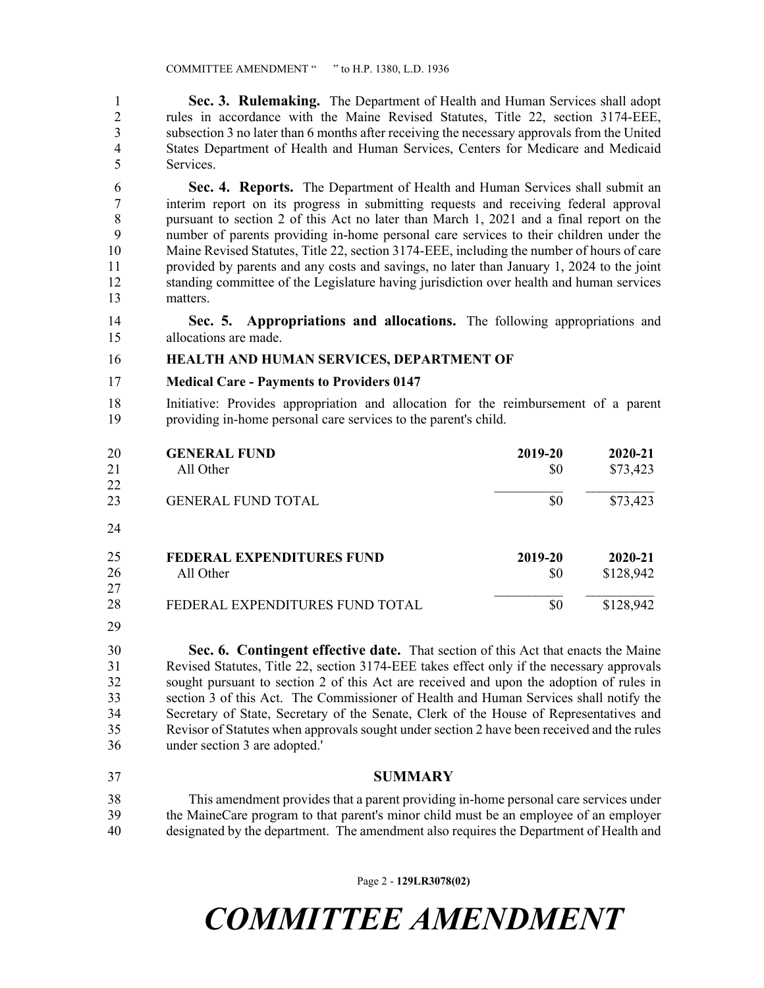1 **Sec. 3. Rulemaking.** The Department of Health and Human Services shall adopt 2 rules in accordance with the Maine Revised Statutes, Title 22, section 3174-EEE, 3 subsection 3 no later than 6 months after receiving the necessary approvals from the United 4 States Department of Health and Human Services, Centers for Medicare and Medicaid 5 Services.

6 **Sec. 4. Reports.** The Department of Health and Human Services shall submit an 7 interim report on its progress in submitting requests and receiving federal approval 8 pursuant to section 2 of this Act no later than March 1, 2021 and a final report on the 9 number of parents providing in-home personal care services to their children under the 10 Maine Revised Statutes, Title 22, section 3174-EEE, including the number of hours of care 11 provided by parents and any costs and savings, no later than January 1, 2024 to the joint 12 standing committee of the Legislature having jurisdiction over health and human services 13 matters.

14 **Sec. 5. Appropriations and allocations.** The following appropriations and 15 allocations are made.

## 16 **HEALTH AND HUMAN SERVICES, DEPARTMENT OF**

## 17 **Medical Care - Payments to Providers 0147**

18 Initiative: Provides appropriation and allocation for the reimbursement of a parent 19 providing in-home personal care services to the parent's child.

| 20 | <b>GENERAL FUND</b>              | 2019-20 | 2020-21   |
|----|----------------------------------|---------|-----------|
| 21 | All Other                        | \$0     | \$73,423  |
| 22 |                                  |         |           |
| 23 | <b>GENERAL FUND TOTAL</b>        | \$0     | \$73,423  |
| 24 |                                  |         |           |
| 25 | <b>FEDERAL EXPENDITURES FUND</b> | 2019-20 | 2020-21   |
| 26 | All Other                        | \$0     | \$128,942 |
| 27 |                                  |         |           |
| 28 | FEDERAL EXPENDITURES FUND TOTAL  | \$0     | \$128,942 |

25 29

30 **Sec. 6. Contingent effective date.** That section of this Act that enacts the Maine 31 Revised Statutes, Title 22, section 3174-EEE takes effect only if the necessary approvals 32 sought pursuant to section 2 of this Act are received and upon the adoption of rules in 33 section 3 of this Act. The Commissioner of Health and Human Services shall notify the 34 Secretary of State, Secretary of the Senate, Clerk of the House of Representatives and 35 Revisor of Statutes when approvals sought under section 2 have been received and the rules 36 under section 3 are adopted.'

37 **SUMMARY**

38 This amendment provides that a parent providing in-home personal care services under 39 the MaineCare program to that parent's minor child must be an employee of an employer 40 designated by the department. The amendment also requires the Department of Health and

Page 2 - **129LR3078(02)**

*COMMITTEE AMENDMENT*